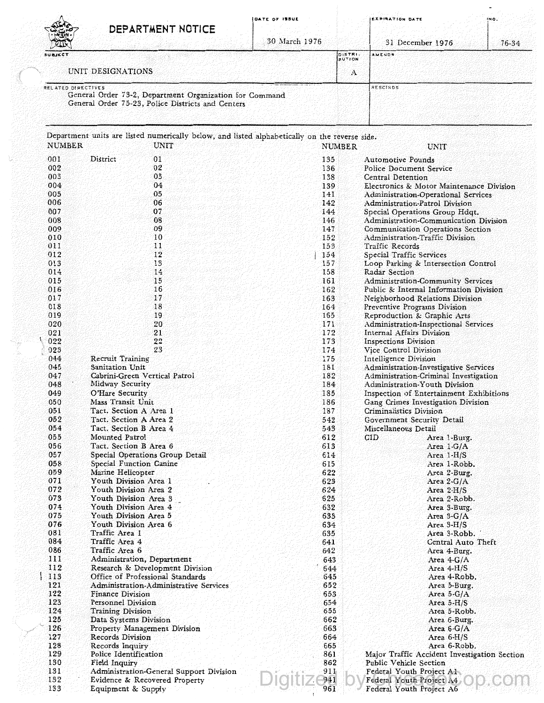|                    | DEPARTMENT NOTICE                                                                                            | DATE OF ISSUE |                          | EXPIRATION DATE<br>INO.                                               |
|--------------------|--------------------------------------------------------------------------------------------------------------|---------------|--------------------------|-----------------------------------------------------------------------|
|                    |                                                                                                              | 30 March 1976 |                          | 31 December 1976<br>76-34                                             |
| SUBJECT            |                                                                                                              |               | DISTRI-<br><b>BUTION</b> | AMENDS                                                                |
|                    | UNIT DESIGNATIONS                                                                                            |               | A                        |                                                                       |
| RELATED DIRECTIVES |                                                                                                              |               |                          | RESCINDS                                                              |
|                    | General Order 73-2, Department Organization for Command<br>General Order 75-23, Police Districts and Centers |               |                          |                                                                       |
| <b>NUMBER</b>      | Department units are listed numerically below, and listed alphabetically on the reverse side.<br>UNIT        |               |                          | UNIT                                                                  |
| 001                | District<br>01                                                                                               | 135           | NUMBER                   | <b>Automotive Pounds</b>                                              |
| 002                | 02                                                                                                           | 136           |                          | Police Document Service                                               |
| 003                | 03                                                                                                           | 138           |                          | Central Detention                                                     |
| 004                | 04                                                                                                           | 139           |                          | Electronics & Motor Maintenance Division                              |
| 005<br>006         | 05<br>06                                                                                                     | 141<br>142    |                          | Administration-Operational Services<br>Administration-Patrol Division |
| 007                | 07                                                                                                           | 144           |                          | Special Operations Group Hdqt.                                        |
| 008                | 08                                                                                                           | 146           |                          | Administration-Communication Division                                 |
| 009                | 09                                                                                                           | 147           |                          | Communication Operations Section                                      |
| 010                | 10                                                                                                           | 152           |                          | Administration-Traffic Division                                       |
| 011                | 11<br>12                                                                                                     | 153<br>154    |                          | Traffic Records                                                       |
| 012<br>013         | 13                                                                                                           | 157           |                          | Special Traffic Services<br>Loop Parking & Intersection Control       |
| 014                | 14                                                                                                           | 158           |                          | Radar Section                                                         |
| 015                | 15                                                                                                           | 161           |                          | <b>Administration-Community Services</b>                              |
| 016                | 16                                                                                                           | 162           |                          | Public & Internal Information Division                                |
| 017                | 17                                                                                                           | 163           |                          | Neighborhood Relations Division                                       |
| 018<br>019         | 18<br>19                                                                                                     | 164<br>165    |                          | Preventive Programs Division<br>Reproduction & Graphic Arts           |
| 020                | 20                                                                                                           | 171           |                          | Administration-Inspectional Services                                  |
| 021                | 21                                                                                                           | 172           |                          | Internal Affairs Division                                             |
| 022                | 22                                                                                                           | 173           |                          | Inspections Division                                                  |
| 023                | 23                                                                                                           | 174           |                          | Vice Control Division                                                 |
| 044<br>045         | <b>Recruit Training</b><br>Sanitation Unit                                                                   | 175<br>181    |                          | Intelligence Division<br>Administration-Investigative Services        |
| 047                | Cabrini-Green Vertical Patrol                                                                                | 182           |                          | Administration-Criminal Investigation                                 |
| 048                | Midway Security                                                                                              | 184           |                          | Administration-Youth Division                                         |
| 049                | O'Hare Security                                                                                              | 185           |                          | Inspection of Entertainment Exhibitions                               |
| 050                | Mass Transit Unit                                                                                            | 186           |                          | Gang Crimes Investigation Division                                    |
| 051                | Tact. Section A Area 1                                                                                       | 187           |                          | Criminalistics Division                                               |
| 052<br>054         | Tact. Section A Area 2<br>Tact. Section B Area 4                                                             | 542<br>543    |                          | Government Security Detail<br>Miscellaneous Detail                    |
| 055                | Mounted Patrol                                                                                               | 612           |                          | CID<br>Area 1-Burg.                                                   |
| 056                | Tact. Section B Area 6                                                                                       | 613           |                          | Area $1-G/A$                                                          |
| 057                | Special Operations Group Detail                                                                              | 614           |                          | Area 1-H/S                                                            |
| 058                | Special Function Canine                                                                                      | 615           |                          | Area 1-Robb.                                                          |
| 059                | Marine Helicopter                                                                                            | 622<br>623    |                          | Area 2-Burg.                                                          |
| 071<br>072         | Youth Division Area 1<br>Youth Division Area 2                                                               | 624           |                          | Area $2-G/A$<br>Area $2-H/S$                                          |
| 073                | Youth Division Area 3                                                                                        | 625           |                          | Area 2-Robb.                                                          |
| 074                | Youth Division Area 4                                                                                        | 632           |                          | Area 3-Burg.                                                          |
| 075                | Youth Division Area 5                                                                                        | 633           |                          | Area $3-G/A$                                                          |
| 076                | Youth Division Area 6                                                                                        | 634           |                          | Area $3-H/S$                                                          |
| 081<br>084         | Traffic Area 1<br>Traffic Area 4                                                                             | 635<br>641    |                          | Area 3-Robb.<br>Central Auto Theft                                    |
| 086                | Traffic Area 6                                                                                               | 642           |                          | Area 4-Burg.                                                          |
| 111                | Administration, Department                                                                                   | 643           |                          | Area $4-G/A$                                                          |
| 112                | Research & Development Division                                                                              | 644           |                          | Area $4-H/S$                                                          |
| 113                | Office of Professional Standards                                                                             | 645           |                          | Area 4-Robb.                                                          |
| 121<br>122         | Administration-Administrative Services                                                                       | 652<br>653    |                          | Area 5-Burg.<br>Area 5- $G/A$                                         |
| 123                | <b>Finance Division</b><br>Personnel Division                                                                | 654           |                          | Area $5-H/S$                                                          |
| 124                | <b>Training Division</b>                                                                                     | 655           |                          | Area 5-Robb.                                                          |
| 125                | Data Systems Division                                                                                        | 662           |                          | Area 6-Burg.                                                          |
| 126                | Property Management Division                                                                                 | 663           |                          | Area $6-G/A$                                                          |
| 127                | Records Division                                                                                             | 664           |                          | Area $6-H/S$                                                          |
| 128<br>129         | Records Inquiry<br>Police Identification                                                                     | 665<br>861    |                          | Area 6-Robb.<br>Major Traffic Accident Investigation Section          |
| 130                | Field Inquiry                                                                                                | 862           |                          | Public Vehicle Section                                                |
| 131                | Administration-General Support Division                                                                      | 911           |                          | Federal Youth Project A1                                              |
| 132                | Evidence & Recovered Property                                                                                | 941           |                          | Federal Youth Project A4                                              |
| 133                | Equipment & Supply                                                                                           | 961           |                          | Federal Youth Project A6                                              |